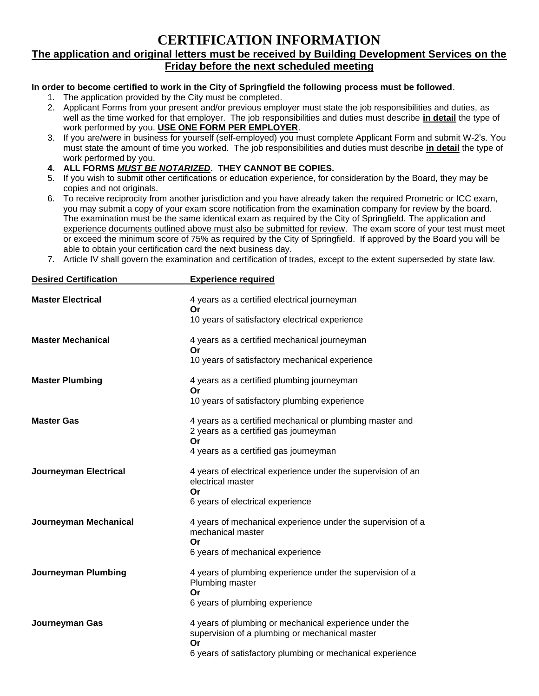# **CERTIFICATION INFORMATION**

#### **The application and original letters must be received by Building Development Services on the Friday before the next scheduled meeting**

#### **In order to become certified to work in the City of Springfield the following process must be followed**.

- 1. The application provided by the City must be completed.
- 2. Applicant Forms from your present and/or previous employer must state the job responsibilities and duties, as well as the time worked for that employer. The job responsibilities and duties must describe **in detail** the type of work performed by you. **USE ONE FORM PER EMPLOYER**.
- 3. If you are/were in business for yourself (self-employed) you must complete Applicant Form and submit W-2's. You must state the amount of time you worked. The job responsibilities and duties must describe **in detail** the type of work performed by you.
- **4. ALL FORMS** *MUST BE NOTARIZED***. THEY CANNOT BE COPIES.**
- 5. If you wish to submit other certifications or education experience, for consideration by the Board, they may be copies and not originals.
- 6. To receive reciprocity from another jurisdiction and you have already taken the required Prometric or ICC exam, you may submit a copy of your exam score notification from the examination company for review by the board. The examination must be the same identical exam as required by the City of Springfield. The application and experience documents outlined above must also be submitted for review. The exam score of your test must meet or exceed the minimum score of 75% as required by the City of Springfield. If approved by the Board you will be able to obtain your certification card the next business day.
- 7. Article IV shall govern the examination and certification of trades, except to the extent superseded by state law.

| <b>Desired Certification</b> | <b>Experience required</b>                                                                                     |  |  |
|------------------------------|----------------------------------------------------------------------------------------------------------------|--|--|
| <b>Master Electrical</b>     | 4 years as a certified electrical journeyman<br>Or<br>10 years of satisfactory electrical experience           |  |  |
|                              |                                                                                                                |  |  |
| <b>Master Mechanical</b>     | 4 years as a certified mechanical journeyman<br>Or                                                             |  |  |
|                              | 10 years of satisfactory mechanical experience                                                                 |  |  |
| <b>Master Plumbing</b>       | 4 years as a certified plumbing journeyman<br>Or                                                               |  |  |
|                              | 10 years of satisfactory plumbing experience                                                                   |  |  |
| <b>Master Gas</b>            | 4 years as a certified mechanical or plumbing master and<br>2 years as a certified gas journeyman<br>Or        |  |  |
|                              | 4 years as a certified gas journeyman                                                                          |  |  |
| <b>Journeyman Electrical</b> | 4 years of electrical experience under the supervision of an<br>electrical master<br>Or                        |  |  |
|                              | 6 years of electrical experience                                                                               |  |  |
| Journeyman Mechanical        | 4 years of mechanical experience under the supervision of a<br>mechanical master<br>Or                         |  |  |
|                              | 6 years of mechanical experience                                                                               |  |  |
| <b>Journeyman Plumbing</b>   | 4 years of plumbing experience under the supervision of a<br>Plumbing master<br>Or                             |  |  |
|                              | 6 years of plumbing experience                                                                                 |  |  |
| Journeyman Gas               | 4 years of plumbing or mechanical experience under the<br>supervision of a plumbing or mechanical master<br>Or |  |  |
|                              | 6 years of satisfactory plumbing or mechanical experience                                                      |  |  |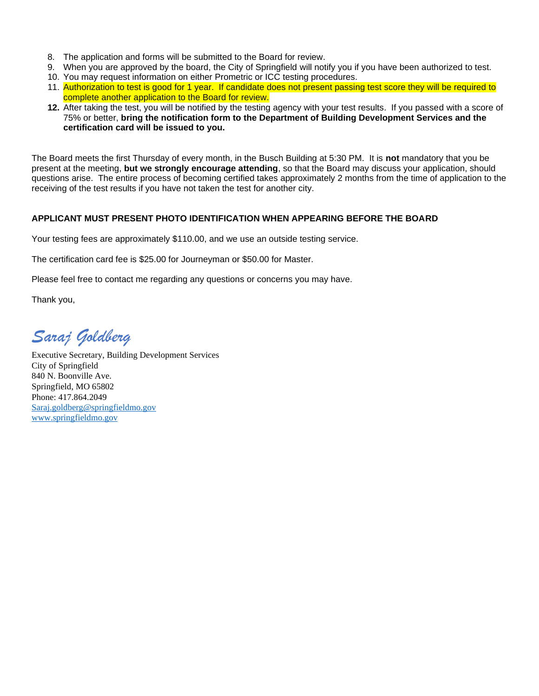- 8. The application and forms will be submitted to the Board for review.
- 9. When you are approved by the board, the City of Springfield will notify you if you have been authorized to test.
- 10. You may request information on either Prometric or ICC testing procedures.
- 11. Authorization to test is good for 1 year. If candidate does not present passing test score they will be required to complete another application to the Board for review.
- **12.** After taking the test, you will be notified by the testing agency with your test results. If you passed with a score of 75% or better, **bring the notification form to the Department of Building Development Services and the certification card will be issued to you.**

The Board meets the first Thursday of every month, in the Busch Building at 5:30 PM. It is **not** mandatory that you be present at the meeting, **but we strongly encourage attending**, so that the Board may discuss your application, should questions arise. The entire process of becoming certified takes approximately 2 months from the time of application to the receiving of the test results if you have not taken the test for another city.

#### **APPLICANT MUST PRESENT PHOTO IDENTIFICATION WHEN APPEARING BEFORE THE BOARD**

Your testing fees are approximately \$110.00, and we use an outside testing service.

The certification card fee is \$25.00 for Journeyman or \$50.00 for Master.

Please feel free to contact me regarding any questions or concerns you may have.

Thank you,

*Saraj Goldberg*

Executive Secretary, Building Development Services City of Springfield 840 N. Boonville Ave. Springfield, MO 65802 Phone: 417.864.2049 [Saraj.goldberg@springfieldmo.gov](mailto:Saraj.goldberg@springfieldmo.gov) [www.springfieldmo.gov](https://gcc02.safelinks.protection.outlook.com/?url=https%3A%2F%2Fwww.springfieldmo.gov%2F231%2FCity-Clerk&data=04%7C01%7C%7C0b3b16bdec5a43bd625908d952eb7e3f%7C1a6b7a9a56bb44a99b98a86cbee94744%7C0%7C0%7C637631993679000653%7CUnknown%7CTWFpbGZsb3d8eyJWIjoiMC4wLjAwMDAiLCJQIjoiV2luMzIiLCJBTiI6Ik1haWwiLCJXVCI6Mn0%3D%7C1000&sdata=QhP3aMrI58uwy5zBuB8ACP0d3cyfZ5wTe6l2TtbO1Dg%3D&reserved=0)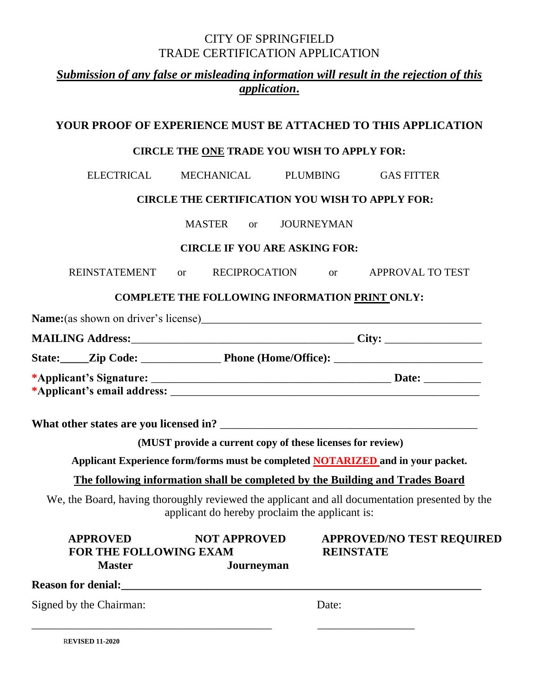# CITY OF SPRINGFIELD TRADE CERTIFICATION APPLICATION

# *Submission of any false or misleading information will result in the rejection of this application***.**

## **YOUR PROOF OF EXPERIENCE MUST BE ATTACHED TO THIS APPLICATION**

## **CIRCLE THE ONE TRADE YOU WISH TO APPLY FOR:**

ELECTRICAL MECHANICAL PLUMBING GAS FITTER

## **CIRCLE THE CERTIFICATION YOU WISH TO APPLY FOR:**

MASTER or JOURNEYMAN

#### **CIRCLE IF YOU ARE ASKING FOR:**

REINSTATEMENT or RECIPROCATION or APPROVAL TO TEST

## **COMPLETE THE FOLLOWING INFORMATION PRINT ONLY:**

|                                                        |                                      | <b>Name:</b> (as shown on driver's license) |       |
|--------------------------------------------------------|--------------------------------------|---------------------------------------------|-------|
| <b>MAILING Address:_______________________________</b> |                                      |                                             |       |
|                                                        | State: <u>Zip Code: ________</u> ___ | <b>Phone (Home/Office):</b>                 |       |
|                                                        |                                      |                                             | Date: |
|                                                        | *Applicant's email address:          |                                             |       |

**What other states are you licensed in?** \_\_\_\_\_\_\_\_\_\_\_\_\_\_\_\_\_\_\_\_\_\_\_\_\_\_\_\_\_\_\_\_\_\_\_\_\_\_\_\_\_\_\_\_\_

**(MUST provide a current copy of these licenses for review)**

**Applicant Experience form/forms must be completed NOTARIZED and in your packet.**

## **The following information shall be completed by the Building and Trades Board**

We, the Board, having thoroughly reviewed the applicant and all documentation presented by the applicant do hereby proclaim the applicant is:

| <b>APPROVED</b><br><b>FOR THE FOLLOWING EXAM</b> | <b>NOT APPROVED</b> | <b>APPROVED/NO TEST REQUIRED</b><br><b>REINSTATE</b> |  |
|--------------------------------------------------|---------------------|------------------------------------------------------|--|
| <b>Master</b>                                    | Journeyman          |                                                      |  |
| <b>Reason for denial:</b>                        |                     |                                                      |  |
| Signed by the Chairman:                          |                     | Date:                                                |  |
|                                                  |                     |                                                      |  |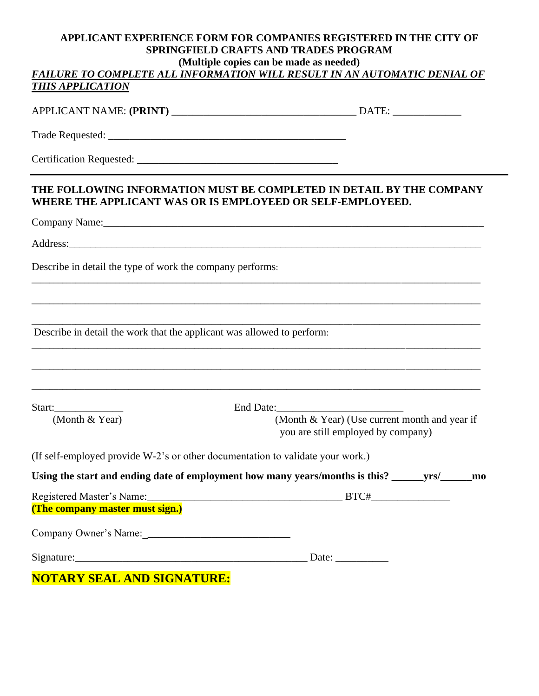#### **APPLICANT EXPERIENCE FORM FOR COMPANIES REGISTERED IN THE CITY OF SPRINGFIELD CRAFTS AND TRADES PROGRAM (Multiple copies can be made as needed)** FAILURE TO COMPLETE ALL INFORMATION WILL RESULT IN AN AUTOMATIC DENIAL OF

## *THIS APPLICATION*

# APPLICANT NAME: **(PRINT)** \_\_\_\_\_\_\_\_\_\_\_\_\_\_\_\_\_\_\_\_\_\_\_\_\_\_\_\_\_\_\_\_\_\_\_ DATE: \_\_\_\_\_\_\_\_\_\_\_\_\_

Trade Requested:

Certification Requested: \_\_\_\_\_\_\_\_\_\_\_\_\_\_\_\_\_\_\_\_\_\_\_\_\_\_\_\_\_\_\_\_\_\_\_\_\_\_

## **THE FOLLOWING INFORMATION MUST BE COMPLETED IN DETAIL BY THE COMPANY WHERE THE APPLICANT WAS OR IS EMPLOYEED OR SELF-EMPLOYEED.**

\_\_\_\_\_\_\_\_\_\_\_\_\_\_\_\_\_\_\_\_\_\_\_\_\_\_\_\_\_\_\_\_\_\_\_\_\_\_\_\_\_\_\_\_\_\_\_\_\_\_\_\_\_\_\_\_\_\_\_\_\_\_\_\_\_\_\_\_\_\_\_\_\_\_\_\_\_\_\_\_\_\_\_\_\_\_\_\_\_\_\_\_\_\_\_\_\_\_\_\_\_\_

\_\_\_\_\_\_\_\_\_\_\_\_\_\_\_\_\_\_\_\_\_\_\_\_\_\_\_\_\_\_\_\_\_\_\_\_\_\_\_\_\_\_\_\_\_\_\_\_\_\_\_\_\_\_\_\_\_\_\_\_\_\_\_\_\_\_\_\_\_\_\_\_\_\_\_\_\_\_\_\_\_\_\_\_\_\_\_\_\_\_\_\_\_\_\_\_\_\_\_\_\_\_

**\_\_\_\_\_\_\_\_\_\_\_\_\_\_\_\_\_\_\_\_\_\_\_\_\_\_\_\_\_\_\_\_\_\_\_\_\_\_\_\_\_\_\_\_\_\_\_\_\_\_\_\_\_\_\_\_\_\_\_\_\_\_\_\_\_\_\_\_\_\_\_\_\_\_\_\_\_\_\_\_\_\_\_\_\_\_\_\_\_\_\_\_\_\_\_\_\_\_\_\_\_\_**

\_\_\_\_\_\_\_\_\_\_\_\_\_\_\_\_\_\_\_\_\_\_\_\_\_\_\_\_\_\_\_\_\_\_\_\_\_\_\_\_\_\_\_\_\_\_\_\_\_\_\_\_\_\_\_\_\_\_\_\_\_\_\_\_\_\_\_\_\_\_\_\_\_\_\_\_\_\_\_\_\_\_\_\_\_\_\_\_\_\_\_\_\_\_\_\_\_\_\_\_\_\_

\_\_\_\_\_\_\_\_\_\_\_\_\_\_\_\_\_\_\_\_\_\_\_\_\_\_\_\_\_\_\_\_\_\_\_\_\_\_\_\_\_\_\_\_\_\_\_\_\_\_\_\_\_\_\_\_\_\_\_\_\_\_\_\_\_\_\_\_\_\_\_\_\_\_\_\_\_\_\_\_\_\_\_\_\_\_\_\_\_\_\_\_\_\_\_\_\_\_\_\_\_\_

**\_\_\_\_\_\_\_\_\_\_\_\_\_\_\_\_\_\_\_\_\_\_\_\_\_\_\_\_\_\_\_\_\_\_\_\_\_\_\_\_\_\_\_\_\_\_\_\_\_\_\_\_\_\_\_\_\_\_\_\_\_\_\_\_\_\_\_\_\_\_\_\_\_\_\_\_\_\_\_\_\_\_\_\_\_\_\_\_\_\_\_\_\_\_\_\_\_\_\_\_\_\_**

Company Name:

Address:

Describe in detail the type of work the company performs:

Describe in detail the work that the applicant was allowed to perform:

Start: End Date:

 (Month & Year) (Month & Year) (Use current month and year if you are still employed by company)

(If self-employed provide W-2's or other documentation to validate your work.)

| Using the start and ending date of employment how many years/months is this? ________________________________ |       |  |
|---------------------------------------------------------------------------------------------------------------|-------|--|
| (The company master must sign.)                                                                               |       |  |
|                                                                                                               |       |  |
| Signature:                                                                                                    | Date: |  |
| <b>NOTA DV CEAL AND CLONATION</b>                                                                             |       |  |

**NOTARY SEAL AND SIGNATURE:**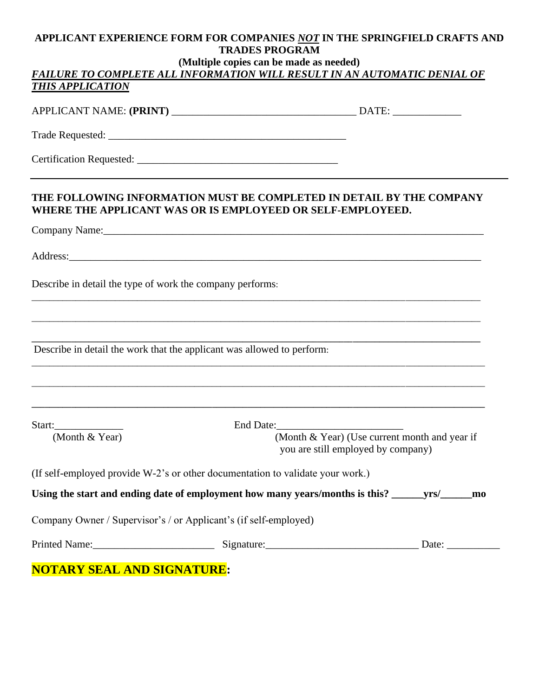### **APPLICANT EXPERIENCE FORM FOR COMPANIES** *NOT* **IN THE SPRINGFIELD CRAFTS AND TRADES PROGRAM**

#### **(Multiple copies can be made as needed)**

| <b>FAILURE TO COMPLETE ALL INFORMATION WILL RESULT IN AN AUTOMATIC DENIAL OF</b> |  |  |
|----------------------------------------------------------------------------------|--|--|
| <b>THIS APPLICATION</b>                                                          |  |  |

#### APPLICANT NAME: **(PRINT)** \_\_\_\_\_\_\_\_\_\_\_\_\_\_\_\_\_\_\_\_\_\_\_\_\_\_\_\_\_\_\_\_\_\_\_ DATE: \_\_\_\_\_\_\_\_\_\_\_\_\_

Trade Requested: \_\_\_\_\_\_\_\_\_\_\_\_\_\_\_\_\_\_\_\_\_\_\_\_\_\_\_\_\_\_\_\_\_\_\_\_\_\_\_\_\_\_\_\_\_

Certification Requested:

#### **THE FOLLOWING INFORMATION MUST BE COMPLETED IN DETAIL BY THE COMPANY WHERE THE APPLICANT WAS OR IS EMPLOYEED OR SELF-EMPLOYEED.**

\_\_\_\_\_\_\_\_\_\_\_\_\_\_\_\_\_\_\_\_\_\_\_\_\_\_\_\_\_\_\_\_\_\_\_\_\_\_\_\_\_\_\_\_\_\_\_\_\_\_\_\_\_\_\_\_\_\_\_\_\_\_\_\_\_\_\_\_\_\_\_\_\_\_\_\_\_\_\_\_\_\_\_\_\_\_\_\_\_\_\_\_\_\_\_\_\_\_\_\_\_\_

\_\_\_\_\_\_\_\_\_\_\_\_\_\_\_\_\_\_\_\_\_\_\_\_\_\_\_\_\_\_\_\_\_\_\_\_\_\_\_\_\_\_\_\_\_\_\_\_\_\_\_\_\_\_\_\_\_\_\_\_\_\_\_\_\_\_\_\_\_\_\_\_\_\_\_\_\_\_\_\_\_\_\_\_\_\_\_\_\_\_\_\_\_\_\_\_\_\_\_\_\_\_

**\_\_\_\_\_\_\_\_\_\_\_\_\_\_\_\_\_\_\_\_\_\_\_\_\_\_\_\_\_\_\_\_\_\_\_\_\_\_\_\_\_\_\_\_\_\_\_\_\_\_\_\_\_\_\_\_\_\_\_\_\_\_\_\_\_\_\_\_\_\_\_\_\_\_\_\_\_\_\_\_\_\_\_\_\_\_\_\_\_\_\_\_\_\_\_\_\_\_\_\_\_\_**

\_\_\_\_\_\_\_\_\_\_\_\_\_\_\_\_\_\_\_\_\_\_\_\_\_\_\_\_\_\_\_\_\_\_\_\_\_\_\_\_\_\_\_\_\_\_\_\_\_\_\_\_\_\_\_\_\_\_\_\_\_\_\_\_\_\_\_\_\_\_\_\_\_\_\_\_\_\_\_\_\_\_\_\_\_\_\_\_\_\_\_\_\_\_\_\_\_\_\_\_\_\_\_

\_\_\_\_\_\_\_\_\_\_\_\_\_\_\_\_\_\_\_\_\_\_\_\_\_\_\_\_\_\_\_\_\_\_\_\_\_\_\_\_\_\_\_\_\_\_\_\_\_\_\_\_\_\_\_\_\_\_\_\_\_\_\_\_\_\_\_\_\_\_\_\_\_\_\_\_\_\_\_\_\_\_\_\_\_\_\_\_\_\_\_\_\_\_\_\_\_\_\_\_\_\_\_

**\_\_\_\_\_\_\_\_\_\_\_\_\_\_\_\_\_\_\_\_\_\_\_\_\_\_\_\_\_\_\_\_\_\_\_\_\_\_\_\_\_\_\_\_\_\_\_\_\_\_\_\_\_\_\_\_\_\_\_\_\_\_\_\_\_\_\_\_\_\_\_\_\_\_\_\_\_\_\_\_\_\_\_\_\_\_\_\_\_\_\_\_\_\_\_\_\_\_\_\_\_\_\_**

Company Name:\_\_\_\_\_\_\_\_\_\_\_\_\_\_\_\_\_\_\_\_\_\_\_\_\_\_\_\_\_\_\_\_\_\_\_\_\_\_\_\_\_\_\_\_\_\_\_\_\_\_\_\_\_\_\_\_\_\_\_\_\_\_\_\_\_\_\_\_\_\_\_\_

Address:

Describe in detail the type of work the company performs:

Describe in detail the work that the applicant was allowed to perform:

Start: End Date:

 (Month & Year) (Month & Year) (Use current month and year if you are still employed by company)

(If self-employed provide W-2's or other documentation to validate your work.)

|  | Using the start and ending date of employment how many years/months is this? _ | vrs/ | mo |
|--|--------------------------------------------------------------------------------|------|----|
|  |                                                                                |      |    |

Company Owner / Supervisor's / or Applicant's (if self-employed)

Printed Name:\_\_\_\_\_\_\_\_\_\_\_\_\_\_\_\_\_\_\_\_\_\_\_ Signature:\_\_\_\_\_\_\_\_\_\_\_\_\_\_\_\_\_\_\_\_\_\_\_\_\_\_\_\_\_ Date: \_\_\_\_\_\_\_\_\_\_

**NOTARY SEAL AND SIGNATURE:**